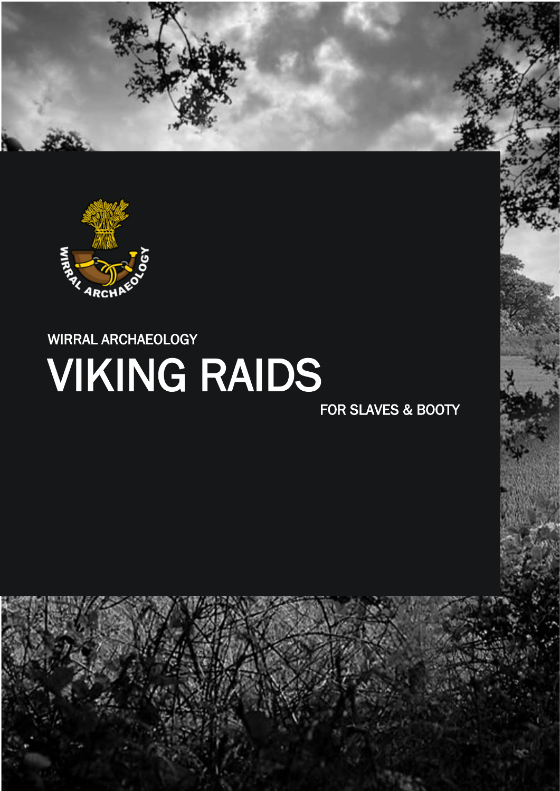



# WIRRAL ARCHAEOLOGY VIKING RAIDS

FOR SLAVES & BOOTY

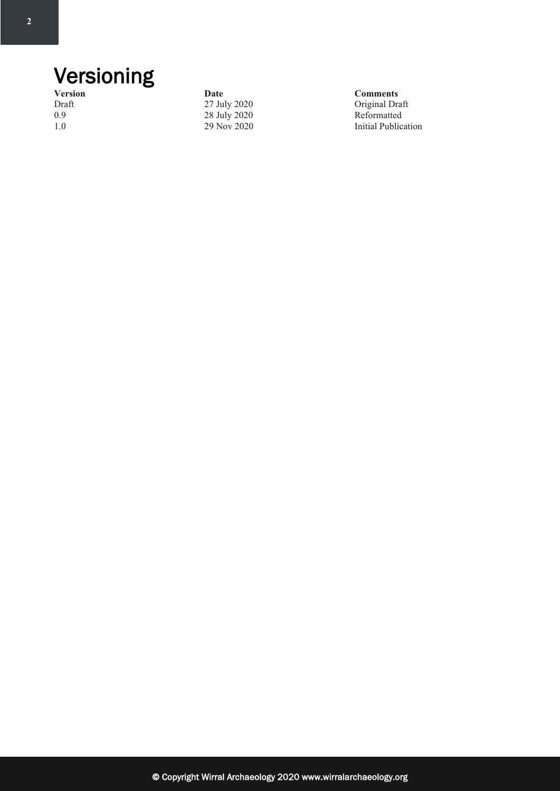# Versioning

**Version Date Comments**<br>
Draft 27 July 2020 **Comments** 1.0<br>
1.0<br>
29 Nov 2020<br>
29 Nov 2020

Draft 27 July 2020 Original Draft 28 July 2020 Original Draft 28 July 2020 Reformatted **Initial Publication**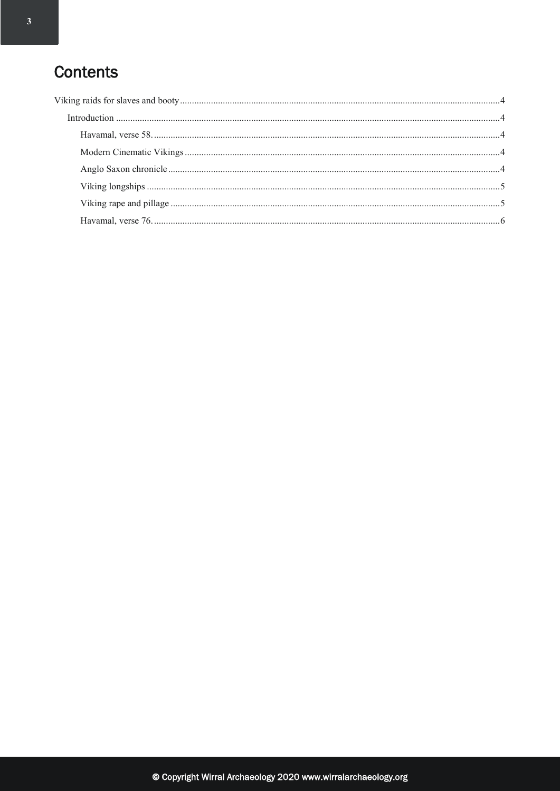### **Contents**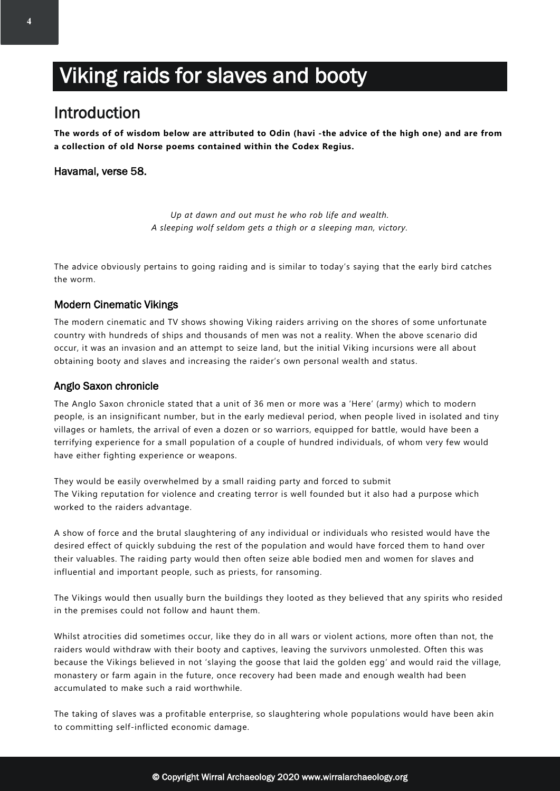## <span id="page-3-0"></span>Viking raids for slaves and booty

### <span id="page-3-1"></span>Introduction

**The words of of wisdom below are attributed to Odin (havi -the advice of the high one) and are from a collection of old Norse poems contained within the Codex Regius.**

#### <span id="page-3-2"></span>Havamal, verse 58.

*Up at dawn and out must he who rob life and wealth. A sleeping wolf seldom gets a thigh or a sleeping man, victory.*

The advice obviously pertains to going raiding and is similar to today's saying that the early bird catches the worm.

#### <span id="page-3-3"></span>Modern Cinematic Vikings

The modern cinematic and TV shows showing Viking raiders arriving on the shores of some unfortunate country with hundreds of ships and thousands of men was not a reality. When the above scenario did occur, it was an invasion and an attempt to seize land, but the initial Viking incursions were all about obtaining booty and slaves and increasing the raider's own personal wealth and status.

#### <span id="page-3-4"></span>Anglo Saxon chronicle

The Anglo Saxon chronicle stated that a unit of 36 men or more was a 'Here' (army) which to modern people, is an insignificant number, but in the early medieval period, when people lived in isolated and tiny villages or hamlets, the arrival of even a dozen or so warriors, equipped for battle, would have been a terrifying experience for a small population of a couple of hundred individuals, of whom very few would have either fighting experience or weapons.

They would be easily overwhelmed by a small raiding party and forced to submit The Viking reputation for violence and creating terror is well founded but it also had a purpose which worked to the raiders advantage.

A show of force and the brutal slaughtering of any individual or individuals who resisted would have the desired effect of quickly subduing the rest of the population and would have forced them to hand over their valuables. The raiding party would then often seize able bodied men and women for slaves and influential and important people, such as priests, for ransoming.

The Vikings would then usually burn the buildings they looted as they believed that any spirits who resided in the premises could not follow and haunt them.

Whilst atrocities did sometimes occur, like they do in all wars or violent actions, more often than not, the raiders would withdraw with their booty and captives, leaving the survivors unmolested. Often this was because the Vikings believed in not 'slaying the goose that laid the golden egg' and would raid the village, monastery or farm again in the future, once recovery had been made and enough wealth had been accumulated to make such a raid worthwhile.

The taking of slaves was a profitable enterprise, so slaughtering whole populations would have been akin to committing self-inflicted economic damage.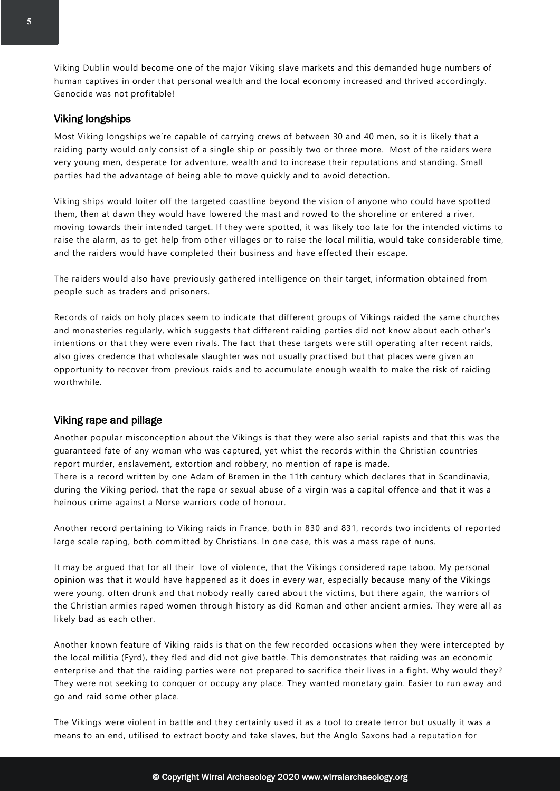Viking Dublin would become one of the major Viking slave markets and this demanded huge numbers of human captives in order that personal wealth and the local economy increased and thrived accordingly. Genocide was not profitable!

#### <span id="page-4-0"></span>Viking longships

Most Viking longships we're capable of carrying crews of between 30 and 40 men, so it is likely that a raiding party would only consist of a single ship or possibly two or three more. Most of the raiders were very young men, desperate for adventure, wealth and to increase their reputations and standing. Small parties had the advantage of being able to move quickly and to avoid detection.

Viking ships would loiter off the targeted coastline beyond the vision of anyone who could have spotted them, then at dawn they would have lowered the mast and rowed to the shoreline or entered a river, moving towards their intended target. If they were spotted, it was likely too late for the intended victims to raise the alarm, as to get help from other villages or to raise the local militia, would take considerable time, and the raiders would have completed their business and have effected their escape.

The raiders would also have previously gathered intelligence on their target, information obtained from people such as traders and prisoners.

Records of raids on holy places seem to indicate that different groups of Vikings raided the same churches and monasteries regularly, which suggests that different raiding parties did not know about each other's intentions or that they were even rivals. The fact that these targets were still operating after recent raids, also gives credence that wholesale slaughter was not usually practised but that places were given an opportunity to recover from previous raids and to accumulate enough wealth to make the risk of raiding worthwhile.

#### <span id="page-4-1"></span>Viking rape and pillage

Another popular misconception about the Vikings is that they were also serial rapists and that this was the guaranteed fate of any woman who was captured, yet whist the records within the Christian countries report murder, enslavement, extortion and robbery, no mention of rape is made. There is a record written by one Adam of Bremen in the 11th century which declares that in Scandinavia, during the Viking period, that the rape or sexual abuse of a virgin was a capital offence and that it was a heinous crime against a Norse warriors code of honour.

Another record pertaining to Viking raids in France, both in 830 and 831, records two incidents of reported large scale raping, both committed by Christians. In one case, this was a mass rape of nuns.

It may be argued that for all their love of violence, that the Vikings considered rape taboo. My personal opinion was that it would have happened as it does in every war, especially because many of the Vikings were young, often drunk and that nobody really cared about the victims, but there again, the warriors of the Christian armies raped women through history as did Roman and other ancient armies. They were all as likely bad as each other.

Another known feature of Viking raids is that on the few recorded occasions when they were intercepted by the local militia (Fyrd), they fled and did not give battle. This demonstrates that raiding was an economic enterprise and that the raiding parties were not prepared to sacrifice their lives in a fight. Why would they? They were not seeking to conquer or occupy any place. They wanted monetary gain. Easier to run away and go and raid some other place.

The Vikings were violent in battle and they certainly used it as a tool to create terror but usually it was a means to an end, utilised to extract booty and take slaves, but the Anglo Saxons had a reputation for